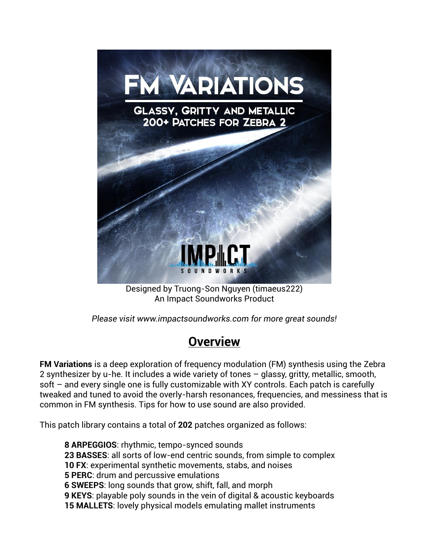

Designed by Truong-Son Nguyen (timaeus222) An Impact Soundworks Product

*Please visit [www.impactsoundworks.com](http://www.impactsoundworks.com/) for more great sounds!*

# **Overview**

**FM Variations** is a deep exploration of frequency modulation (FM) synthesis using the Zebra 2 synthesizer by u-he. It includes a wide variety of tones – glassy, gritty, metallic, smooth, soft – and every single one is fully customizable with XY controls. Each patch is carefully tweaked and tuned to avoid the overly-harsh resonances, frequencies, and messiness that is common in FM synthesis. Tips for how to use sound are also provided.

This patch library contains a total of **202** patches organized as follows:

**8 ARPEGGIOS**: rhythmic, tempo-synced sounds **23 BASSES**: all sorts of low-end centric sounds, from simple to complex **10 FX**: experimental synthetic movements, stabs, and noises **5 PERC**: drum and percussive emulations **6 SWEEPS**: long sounds that grow, shift, fall, and morph **9 KEYS**: playable poly sounds in the vein of digital & acoustic keyboards **15 MALLETS**: lovely physical models emulating mallet instruments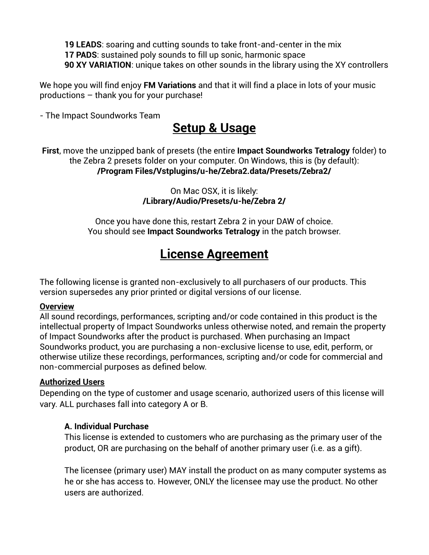**19 LEADS**: soaring and cutting sounds to take front-and-center in the mix **17 PADS**: sustained poly sounds to fill up sonic, harmonic space **90 XY VARIATION**: unique takes on other sounds in the library using the XY controllers

We hope you will find enjoy **FM Variations** and that it will find a place in lots of your music productions – thank you for your purchase!

- The Impact Soundworks Team

## **Setup & Usage**

**First**, move the unzipped bank of presets (the entire **Impact Soundworks Tetralogy** folder) to the Zebra 2 presets folder on your computer. On Windows, this is (by default): **/Program Files/Vstplugins/u-he/Zebra2.data/Presets/Zebra2/**

> On Mac OSX, it is likely: **/Library/Audio/Presets/u-he/Zebra 2/**

Once you have done this, restart Zebra 2 in your DAW of choice. You should see **Impact Soundworks Tetralogy** in the patch browser.

# **License Agreement**

The following license is granted non-exclusively to all purchasers of our products. This version supersedes any prior printed or digital versions of our license.

#### **Overview**

All sound recordings, performances, scripting and/or code contained in this product is the intellectual property of Impact Soundworks unless otherwise noted, and remain the property of Impact Soundworks after the product is purchased. When purchasing an Impact Soundworks product, you are purchasing a non-exclusive license to use, edit, perform, or otherwise utilize these recordings, performances, scripting and/or code for commercial and non-commercial purposes as defined below.

#### **Authorized Users**

Depending on the type of customer and usage scenario, authorized users of this license will vary. ALL purchases fall into category A or B.

### **A. Individual Purchase**

This license is extended to customers who are purchasing as the primary user of the product, OR are purchasing on the behalf of another primary user (i.e. as a gift).

The licensee (primary user) MAY install the product on as many computer systems as he or she has access to. However, ONLY the licensee may use the product. No other users are authorized.